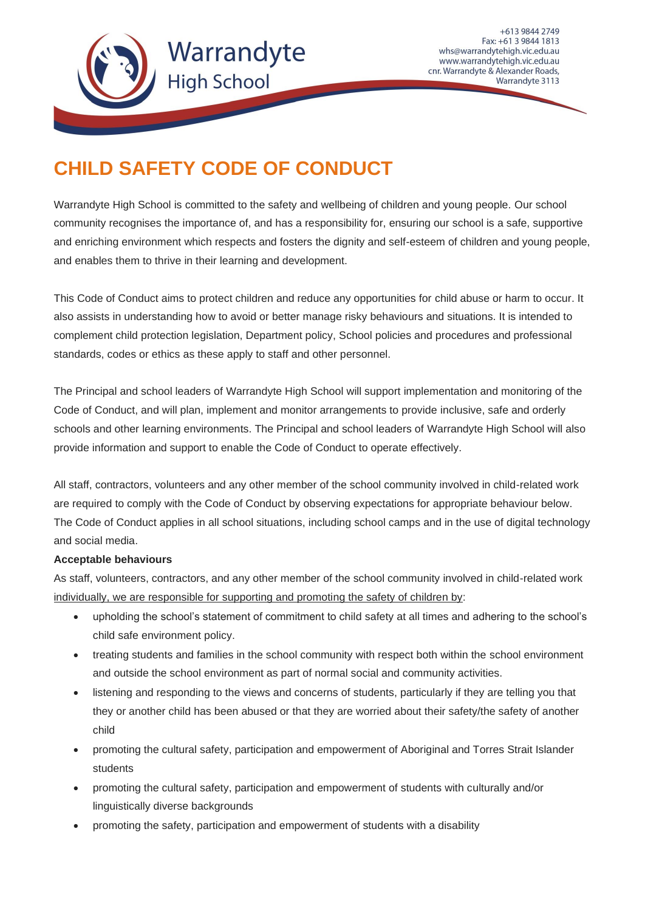

+613 9844 2749 Fax: +61 3 9844 1813 whs@warrandytehigh.vic.edu.au www.warrandytehigh.vic.edu.au cnr. Warrandyte & Alexander Roads, Warrandyte 3113

## **CHILD SAFETY CODE OF CONDUCT**

Warrandyte High School is committed to the safety and wellbeing of children and young people. Our school community recognises the importance of, and has a responsibility for, ensuring our school is a safe, supportive and enriching environment which respects and fosters the dignity and self-esteem of children and young people, and enables them to thrive in their learning and development.

This Code of Conduct aims to protect children and reduce any opportunities for child abuse or harm to occur. It also assists in understanding how to avoid or better manage risky behaviours and situations. It is intended to complement child protection legislation, Department policy, School policies and procedures and professional standards, codes or ethics as these apply to staff and other personnel.

The Principal and school leaders of Warrandyte High School will support implementation and monitoring of the Code of Conduct, and will plan, implement and monitor arrangements to provide inclusive, safe and orderly schools and other learning environments. The Principal and school leaders of Warrandyte High School will also provide information and support to enable the Code of Conduct to operate effectively.

All staff, contractors, volunteers and any other member of the school community involved in child-related work are required to comply with the Code of Conduct by observing expectations for appropriate behaviour below. The Code of Conduct applies in all school situations, including school camps and in the use of digital technology and social media.

## **Acceptable behaviours**

As staff, volunteers, contractors, and any other member of the school community involved in child-related work individually, we are responsible for supporting and promoting the safety of children by:

- upholding the school's statement of commitment to child safety at all times and adhering to the school's child safe environment policy.
- treating students and families in the school community with respect both within the school environment and outside the school environment as part of normal social and community activities.
- listening and responding to the views and concerns of students, particularly if they are telling you that they or another child has been abused or that they are worried about their safety/the safety of another child
- promoting the cultural safety, participation and empowerment of Aboriginal and Torres Strait Islander students
- promoting the cultural safety, participation and empowerment of students with culturally and/or linguistically diverse backgrounds
- promoting the safety, participation and empowerment of students with a disability